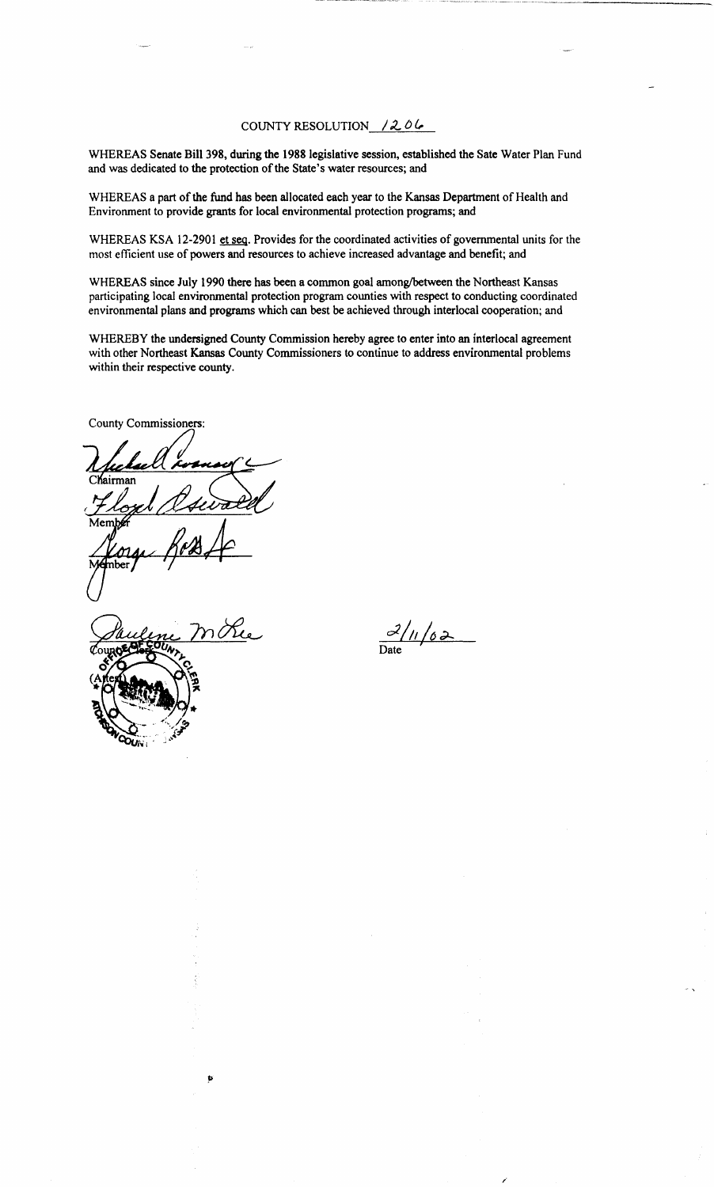#### COUNTY RESOLUTION  $/206$

WHEREAS Senate Bill 398, during the 1988 legislative session, established the Sate Water Plan Fund and was dedicated to the protection of the State's water resources; and

WHEREAS a part of the fund has been allocated each year to the Kansas Department of Health and Environment to provide grants for local environmental protection programs; and

WHEREAS KSA 12-2901 et seq. Provides for the coordinated activities of governmental units for the most efficient use of powers and resources to achieve increased advantage and benefit; and

WHEREAS since July 1990 there has been a common goal among/between the Northeast Kansas participating local environmental protection program counties with respect to conducting coordinated environmental plans and programs which can best be achieved through interlocal cooperation; and

WHEREBY the undersigned County Commission hereby agree to enter into an interlocal agreement with other Northeast Kansas County Commissioners to continue to address environmental problems within their respective county.

County Commissioners:

Chairman

Þ

<u>0</u>/11/02 Date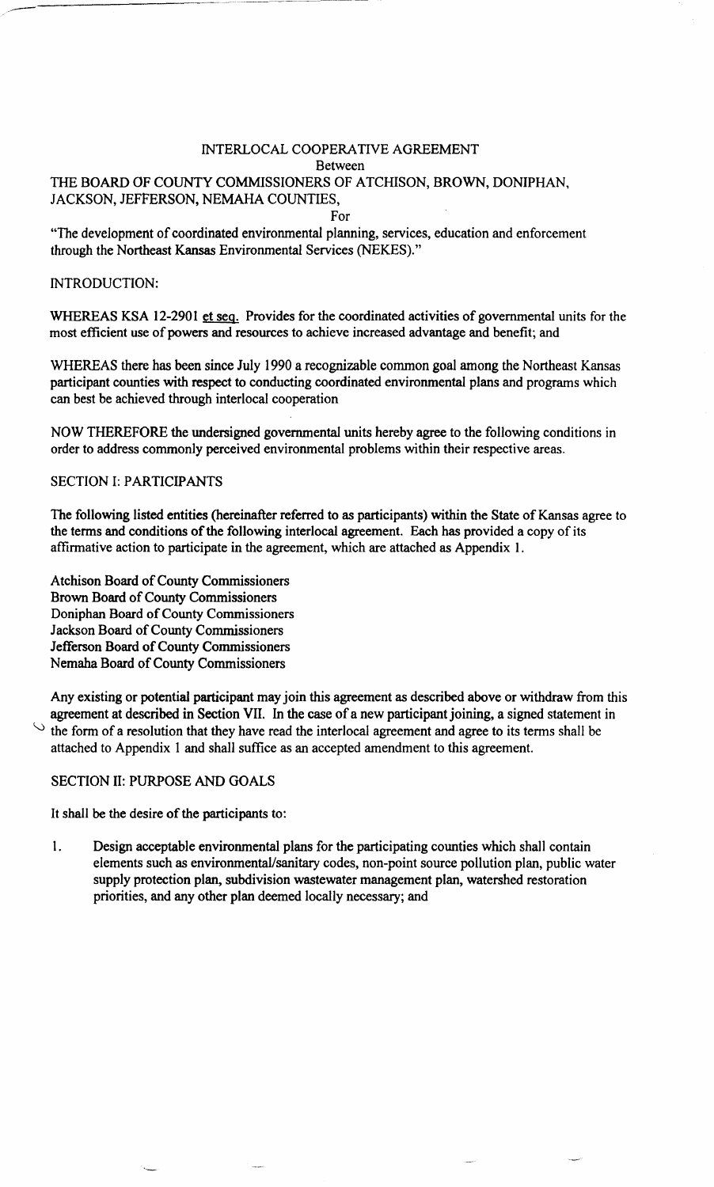# INTERLOCAL COOPERATIVE AGREEMENT Between THE BOARD OF COUNTY COMMISSIONERS OF ATCHISON, BROWN, DONIPHAN, JACKSON, JEFFERSON, NEMAHA COUNTIES,

For

"The development of coordinated environmental planning, services, education and enforcement through the Northeast Kansas Environmental Services (NEKES)."

### INTRODUCTION:

WHEREAS KSA 12-2901 et seq. Provides for the coordinated activities of governmental units for the most efficient use of powers and resources to achieve increased advantage and benefit; and

WHEREAS there has been since July 1990 a recognizable common goal among the Northeast Kansas participant counties with respect to conducting coordinated environmental plans and programs which can best be achieved through interlocal cooperation

NOW THEREFORE the undersigned governmental units hereby agree to the following conditions in order to address commonly perceived environmental problems within their respective areas.

# SECTION I: PARTICIPANTS

The following listed entities (hereinafter referred to as participants) within the State of Kansas agree to the terms and conditions of the following interlocal agreement. Each has provided a copy of its affirmative action to participate in the agreement, which are attached as Appendix 1.

Atchison Board of County Commissioners Brown Board of County Commissioners Doniphan Board of County Commissioners Jackson Board of County Commissioners Jefferson Board of County Commissioners Nemaha Board of County Commissioners

Any existing or potential participant may join this agreement as described above or withdraw from this agreement at described in Section VII. In the case of a new participant joining, a signed statement in the form of a resolution that they have read the interlocal agreement and agree to its terms shall be attached to Appendix 1 and shall suffice as an accepted amendment to this agreement.

#### SECTION II: PURPOSE AND GOALS

It shall be the desire of the participants to:

1. Design acceptable environmental plans for the participating counties which shall contain elements such as environmental/sanitary codes, non-point source pollution plan, public water supply protection plan, subdivision wastewater management plan, watershed restoration priorities, and any other plan deemed locally necessary; and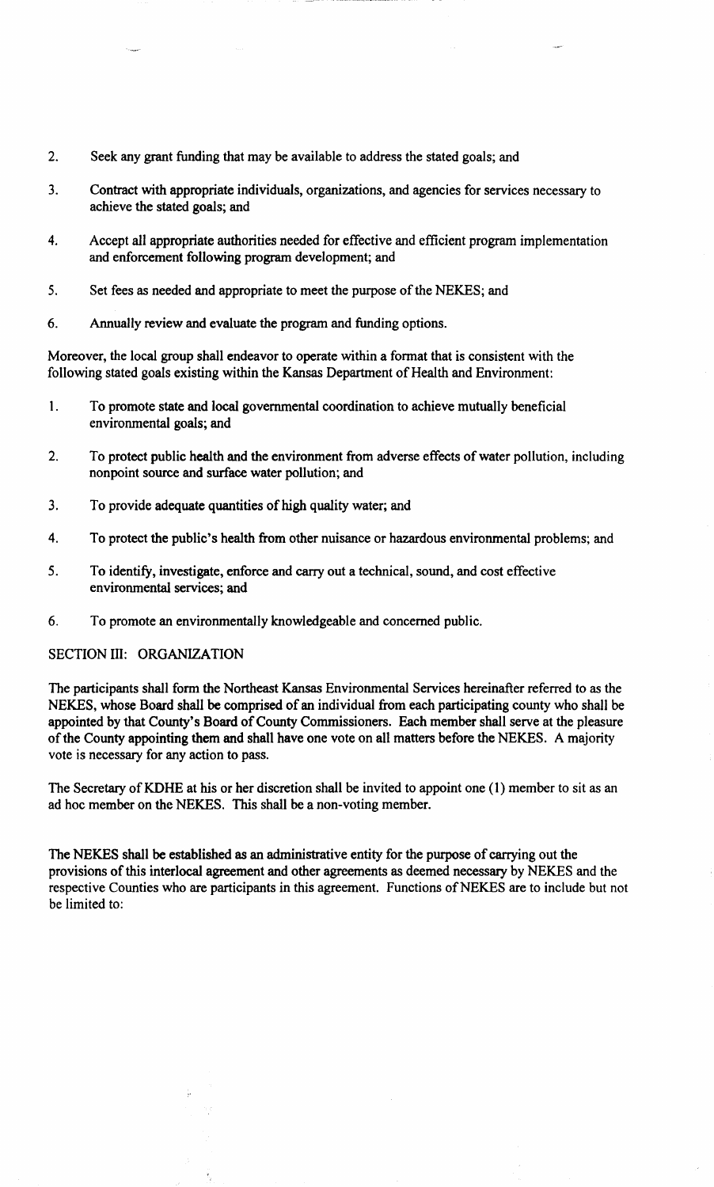- 2. Seek any grant funding that may be available to address the stated goals; and
- 3. Contract with appropriate individuals, organizations, and agencies for services necessary to achieve the stated goals; and
- 4. Accept all appropriate authorities needed for effective and efficient program implementation and enforcement following program development; and
- 5. Set fees as needed and appropriate to meet the purpose of the NEKES; and
- 6. Annually review and evaluate the program and funding options.

Moreover, the local group shall endeavor to operate within a format that is consistent with the following stated goals existing within the Kansas Department of Health and Environment:

- 1. To promote state and local governmental coordination to achieve mutually beneficial environmental goals; and
- 2. To protect public health and the environment from adverse effects of water pollution, including nonpoint source and surface water pollution; and
- 3. To provide adequate quantities of high quality water; and
- 4. To protect the public's health from other nuisance or hazardous environmental problems; and
- 5. To identify, investigate, enforce and carry out a technical, sound, and cost effective environmental services; and
- 6. To promote an environmentally knowledgeable and concerned public.

### SECTION III: ORGANIZATION

The participants shall form the Northeast Kansas Environmental Services hereinafter referred to as the NEKES, whose Board shall be comprised of an individual from each participating county who shall be appointed by that County's Board of County Commissioners. Each member shall serve at the pleasure of the County appointing them and shall have one vote on all matters before the NEKES. A majority vote is necessary for any action to pass.

The Secretary of KDHE at his or her discretion shall be invited to appoint one (1) member to sit as an ad hoc member on the NEKES. This shall be a non-voting member.

The NEKES shall be established as an administrative entity for the purpose of carrying out the provisions of this interlocal agreement and other agreements as deemed necessary by NEKES and the respective Counties who are participants in this agreement. Functions of NEKES are to include but not be limited to: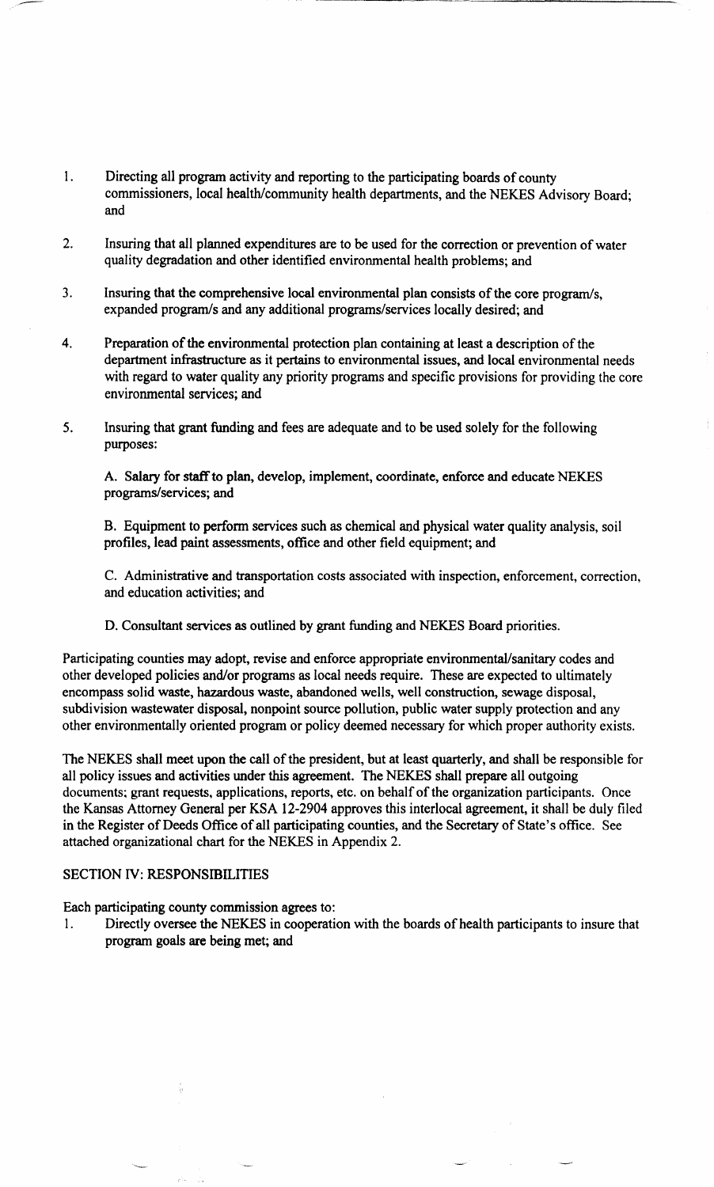- 1. Directing all program activity and reporting to the participating boards of county commissioners, local health/community health departments, and the NEKES Advisory Board; and
- 2. Insuring that all planned expenditures are to be used for the correction or prevention of water quality degradation and other identified environmental health problems; and
- 3. Insuring that the comprehensive local environmental plan consists of the core program/s, expanded program/s and any additional programs/services locally desired; and
- 4. Preparation of the environmental protection plan containing at least a description of the department infrastructure as it pertains to environmental issues, and local environmental needs with regard to water quality any priority programs and specific provisions for providing the core environmental services; and
- 5. Insuring that grant funding and fees are adequate and to be used solely for the following purposes:

A. Salary for staff to plan, develop, implement, coordinate, enforce and educate NEKES programs/services; and

B. Equipment to perform services such as chemical and physical water quality analysis, soil profiles, lead paint assessments, office and other field equipment; and

C. Administrative and transportation costs associated with inspection, enforcement, correction, and education activities; and

D. Consultant services as outlined by grant funding and NEKES Board priorities.

Participating counties may adopt, revise and enforce appropriate environmental/sanitary codes and other developed policies and/or programs as local needs require. These are expected to ultimately encompass solid waste, hazardous waste, abandoned wells, well construction, sewage disposal, subdivision wastewater disposal, nonpoint source pollution, public water supply protection and any other environmentally oriented program or policy deemed necessary for which proper authority exists.

The NEKES shall meet upon the call of the president, but at least quarterly, and shall be responsible for all policy issues and activities under this agreement. The NEKES shall prepare all outgoing documents; grant requests, applications, reports, etc. on behalf of the organization participants. Once the Kansas Attorney General per KSA 12-2904 approves this interlocal agreement, it shall be duly filed in the Register of Deeds Office of all participating counties, and the Secretary of State's office. See attached organizational chart for the NEKES in Appendix 2.

#### SECTION IV: RESPONSIBILITIES

Each participating county commission agrees to:

1. Directly oversee the NEKES in cooperation with the boards of health participants to insure that program goals are being met; and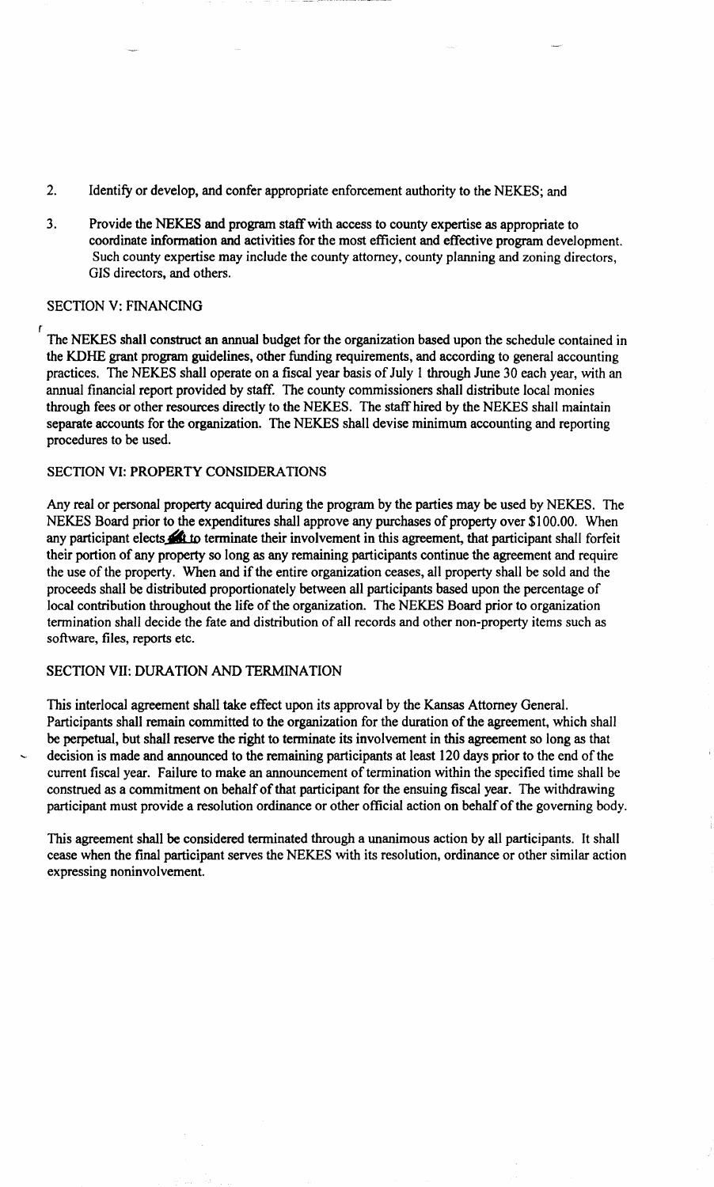- 2. Identify or develop, and confer appropriate enforcement authority to the NEKES; and
- 3. Provide the NEKES and program staff with access to county expertise as appropriate to coordinate information and activities for the most efficient and effective program development. Such county expertise may include the county attorney, county planning and zoning directors, GIS directors, and others.

### SECTION V: FINANCING

r

The NEKES shall construct an annual budget for the organization based upon the schedule contained in the KDHE grant program guidelines, other funding requirements, and according to general accounting practices. The NEKES shall operate on a fiscal year basis of July 1 through June 30 each year, with an annual financial report provided by staff. The county commissioners shall distribute local monies through fees or other resources directly to the NEKES. The staff hired by the NEKES shall maintain separate accounts for the organization. The NEKES shall devise minimum accounting and reporting procedures to be used.

# SECTION VI: PROPERTY CONSIDERATIONS

Any real or personal property acquired during the program by the parties may be used by NEKES. The NEKES Board prior to the expenditures shall approve any purchases of property over \$100.00. When any participant elects **Alt** to terminate their involvement in this agreement, that participant shall forfeit their portion of any property so long as any remaining participants continue the agreement and require the use of the property. When and if the entire organization ceases, all property shall be sold and the proceeds shall be distributed proportionately between all participants based upon the percentage of local contribution throughout the life of the organization. The NEKES Board prior to organization termination shall decide the fate and distribution of all records and other non-property items such as software, files, reports etc.

### SECTION VII: DURATION AND TERMINATION

This interlocal agreement shall take effect upon its approval by the Kansas Attorney General. Participants shall remain committed to the organization for the duration of the agreement, which shall be perpetual, but shall reserve the right to terminate its involvement in this agreement so long as that decision is made and announced to the remaining participants at least 120 days prior to the end of the current fiscal year. Failure to make an announcement of termination within the specified time shall be construed as a commitment on behalf of that participant for the ensuing fiscal year. The withdrawing participant must provide a resolution ordinance or other official action on behalf of the governing body.

This agreement shall be considered terminated through a unanimous action by all participants. It shall cease when the final participant serves the NEKES with its resolution, ordinance or other similar action expressing noninvolvement.